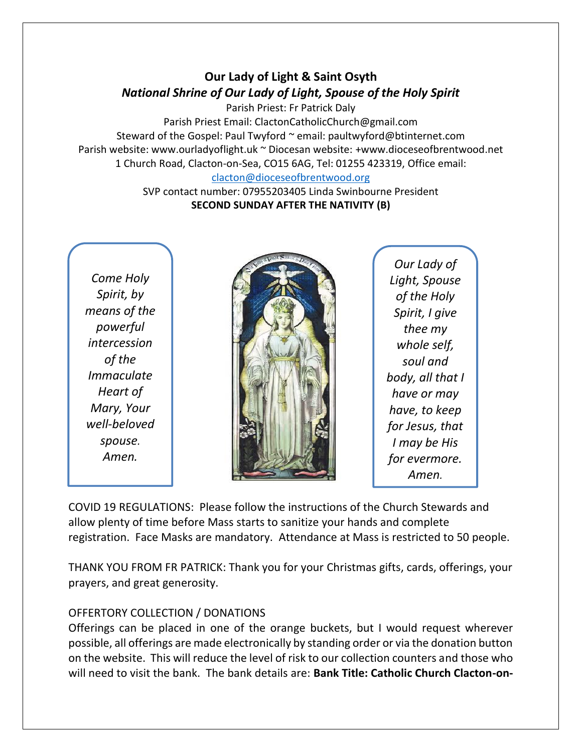# **Our Lady of Light & Saint Osyth** *National Shrine of Our Lady of Light, Spouse of the Holy Spirit*

Parish Priest: Fr Patrick Daly

Parish Priest Email: ClactonCatholicChurch@gmail.com Steward of the Gospel: Paul Twyford ~ email: paultwyford@btinternet.com Parish website: www.ourladyoflight.uk ~ Diocesan website: +www.dioceseofbrentwood.net 1 Church Road, Clacton-on-Sea, CO15 6AG, Tel: 01255 423319, Office email:

[clacton@dioceseofbrentwood.org](mailto:clacton@dioceseofbrentwood.org) SVP contact number: 07955203405 Linda Swinbourne President

### **SECOND SUNDAY AFTER THE NATIVITY (B)**

*Come Holy Spirit, by means of the powerful intercession of the Immaculate Heart of Mary, Your well-beloved spouse. Amen.*



*Our Lady of Light, Spouse of the Holy Spirit, I give thee my whole self, soul and body, all that I have or may have, to keep for Jesus, that I may be His for evermore. Amen.*

COVID 19 REGULATIONS: Please follow the instructions of the Church Stewards and allow plenty of time before Mass starts to sanitize your hands and complete registration. Face Masks are mandatory. Attendance at Mass is restricted to 50 people.

THANK YOU FROM FR PATRICK: Thank you for your Christmas gifts, cards, offerings, your prayers, and great generosity.

## OFFERTORY COLLECTION / DONATIONS

Offerings can be placed in one of the orange buckets, but I would request wherever possible, all offerings are made electronically by standing order or via the donation button on the website. This will reduce the level of risk to our collection counters and those who will need to visit the bank. The bank details are: **Bank Title: Catholic Church Clacton-on-**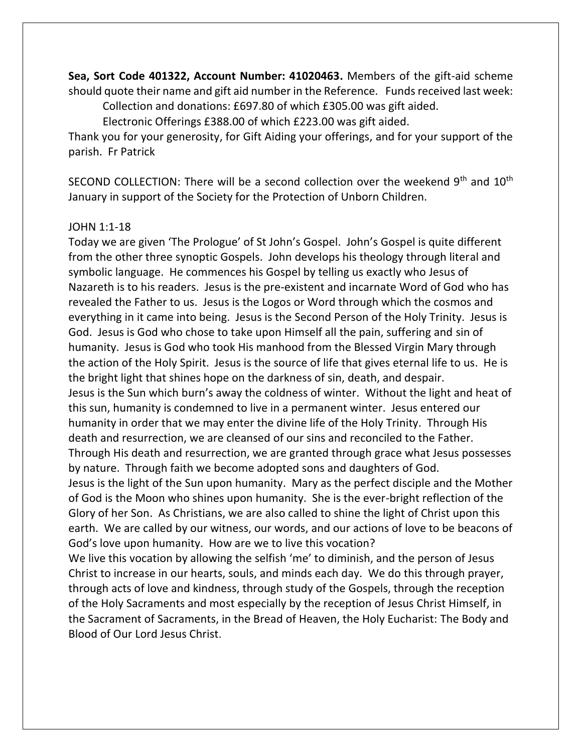**Sea, Sort Code 401322, Account Number: 41020463.** Members of the gift-aid scheme should quote their name and gift aid number in the Reference. Funds received last week: Collection and donations: £697.80 of which £305.00 was gift aided.

Electronic Offerings £388.00 of which £223.00 was gift aided.

Thank you for your generosity, for Gift Aiding your offerings, and for your support of the parish. Fr Patrick

SECOND COLLECTION: There will be a second collection over the weekend  $9<sup>th</sup>$  and  $10<sup>th</sup>$ January in support of the Society for the Protection of Unborn Children.

### JOHN 1:1-18

Today we are given 'The Prologue' of St John's Gospel. John's Gospel is quite different from the other three synoptic Gospels. John develops his theology through literal and symbolic language. He commences his Gospel by telling us exactly who Jesus of Nazareth is to his readers. Jesus is the pre-existent and incarnate Word of God who has revealed the Father to us. Jesus is the Logos or Word through which the cosmos and everything in it came into being. Jesus is the Second Person of the Holy Trinity. Jesus is God. Jesus is God who chose to take upon Himself all the pain, suffering and sin of humanity. Jesus is God who took His manhood from the Blessed Virgin Mary through the action of the Holy Spirit. Jesus is the source of life that gives eternal life to us. He is the bright light that shines hope on the darkness of sin, death, and despair. Jesus is the Sun which burn's away the coldness of winter. Without the light and heat of this sun, humanity is condemned to live in a permanent winter. Jesus entered our humanity in order that we may enter the divine life of the Holy Trinity. Through His death and resurrection, we are cleansed of our sins and reconciled to the Father. Through His death and resurrection, we are granted through grace what Jesus possesses by nature. Through faith we become adopted sons and daughters of God. Jesus is the light of the Sun upon humanity. Mary as the perfect disciple and the Mother of God is the Moon who shines upon humanity. She is the ever-bright reflection of the Glory of her Son. As Christians, we are also called to shine the light of Christ upon this earth. We are called by our witness, our words, and our actions of love to be beacons of God's love upon humanity. How are we to live this vocation?

We live this vocation by allowing the selfish 'me' to diminish, and the person of Jesus Christ to increase in our hearts, souls, and minds each day. We do this through prayer, through acts of love and kindness, through study of the Gospels, through the reception of the Holy Sacraments and most especially by the reception of Jesus Christ Himself, in the Sacrament of Sacraments, in the Bread of Heaven, the Holy Eucharist: The Body and Blood of Our Lord Jesus Christ.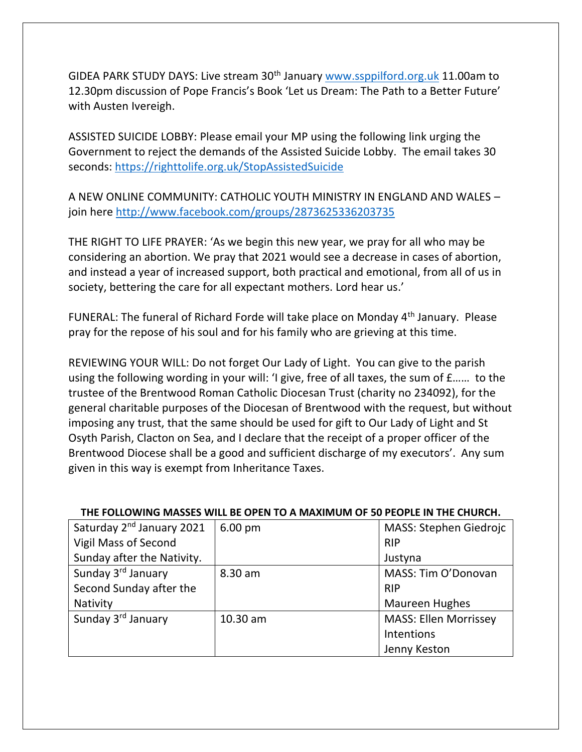GIDEA PARK STUDY DAYS: Live stream 30<sup>th</sup> January [www.ssppilford.org.uk](http://www.ssppilford.org.uk/) 11.00am to 12.30pm discussion of Pope Francis's Book 'Let us Dream: The Path to a Better Future' with Austen Ivereigh.

ASSISTED SUICIDE LOBBY: Please email your MP using the following link urging the Government to reject the demands of the Assisted Suicide Lobby. The email takes 30 seconds:<https://righttolife.org.uk/StopAssistedSuicide>

A NEW ONLINE COMMUNITY: CATHOLIC YOUTH MINISTRY IN ENGLAND AND WALES – join here<http://www.facebook.com/groups/2873625336203735>

THE RIGHT TO LIFE PRAYER: 'As we begin this new year, we pray for all who may be considering an abortion. We pray that 2021 would see a decrease in cases of abortion, and instead a year of increased support, both practical and emotional, from all of us in society, bettering the care for all expectant mothers. Lord hear us.'

FUNERAL: The funeral of Richard Forde will take place on Monday  $4<sup>th</sup>$  January. Please pray for the repose of his soul and for his family who are grieving at this time.

REVIEWING YOUR WILL: Do not forget Our Lady of Light. You can give to the parish using the following wording in your will: 'I give, free of all taxes, the sum of £…… to the trustee of the Brentwood Roman Catholic Diocesan Trust (charity no 234092), for the general charitable purposes of the Diocesan of Brentwood with the request, but without imposing any trust, that the same should be used for gift to Our Lady of Light and St Osyth Parish, Clacton on Sea, and I declare that the receipt of a proper officer of the Brentwood Diocese shall be a good and sufficient discharge of my executors'. Any sum given in this way is exempt from Inheritance Taxes.

| Saturday 2 <sup>nd</sup> January 2021 | $6.00 \text{ pm}$ | <b>MASS: Stephen Giedrojc</b> |
|---------------------------------------|-------------------|-------------------------------|
| <b>Vigil Mass of Second</b>           |                   | <b>RIP</b>                    |
| Sunday after the Nativity.            |                   | Justyna                       |
| Sunday 3rd January                    | 8.30 am           | MASS: Tim O'Donovan           |
| Second Sunday after the               |                   | <b>RIP</b>                    |
| Nativity                              |                   | <b>Maureen Hughes</b>         |
| Sunday 3rd January                    | 10.30 am          | <b>MASS: Ellen Morrissey</b>  |
|                                       |                   | <b>Intentions</b>             |
|                                       |                   | Jenny Keston                  |

#### **THE FOLLOWING MASSES WILL BE OPEN TO A MAXIMUM OF 50 PEOPLE IN THE CHURCH.**